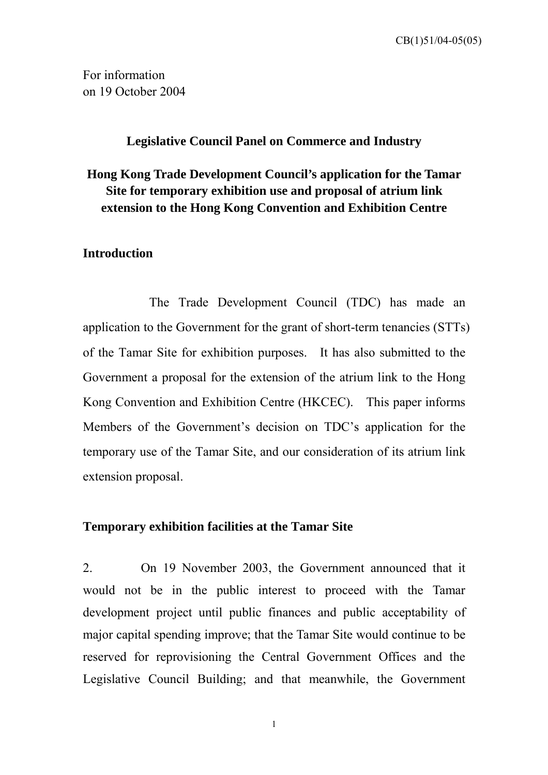CB(1)51/04-05(05)

For information on 19 October 2004

## **Legislative Council Panel on Commerce and Industry**

# **Hong Kong Trade Development Council's application for the Tamar Site for temporary exhibition use and proposal of atrium link extension to the Hong Kong Convention and Exhibition Centre**

# **Introduction**

The Trade Development Council (TDC) has made an application to the Government for the grant of short-term tenancies (STTs) of the Tamar Site for exhibition purposes. It has also submitted to the Government a proposal for the extension of the atrium link to the Hong Kong Convention and Exhibition Centre (HKCEC). This paper informs Members of the Government's decision on TDC's application for the temporary use of the Tamar Site, and our consideration of its atrium link extension proposal.

#### **Temporary exhibition facilities at the Tamar Site**

2. On 19 November 2003, the Government announced that it would not be in the public interest to proceed with the Tamar development project until public finances and public acceptability of major capital spending improve; that the Tamar Site would continue to be reserved for reprovisioning the Central Government Offices and the Legislative Council Building; and that meanwhile, the Government

1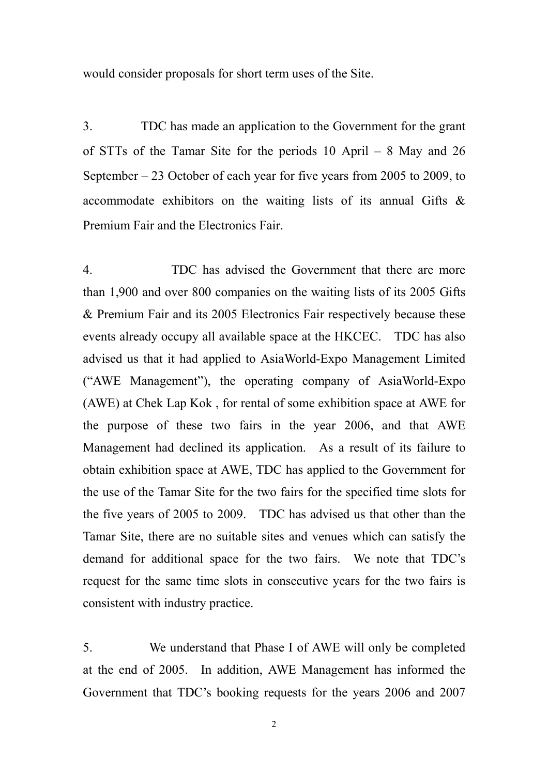would consider proposals for short term uses of the Site.

3. TDC has made an application to the Government for the grant of STTs of the Tamar Site for the periods 10 April – 8 May and 26 September – 23 October of each year for five years from 2005 to 2009, to accommodate exhibitors on the waiting lists of its annual Gifts & Premium Fair and the Electronics Fair.

4. TDC has advised the Government that there are more than 1,900 and over 800 companies on the waiting lists of its 2005 Gifts & Premium Fair and its 2005 Electronics Fair respectively because these events already occupy all available space at the HKCEC. TDC has also advised us that it had applied to AsiaWorld-Expo Management Limited ("AWE Management"), the operating company of AsiaWorld-Expo (AWE) at Chek Lap Kok , for rental of some exhibition space at AWE for the purpose of these two fairs in the year 2006, and that AWE Management had declined its application. As a result of its failure to obtain exhibition space at AWE, TDC has applied to the Government for the use of the Tamar Site for the two fairs for the specified time slots for the five years of 2005 to 2009. TDC has advised us that other than the Tamar Site, there are no suitable sites and venues which can satisfy the demand for additional space for the two fairs. We note that TDC's request for the same time slots in consecutive years for the two fairs is consistent with industry practice.

5. We understand that Phase I of AWE will only be completed at the end of 2005. In addition, AWE Management has informed the Government that TDC's booking requests for the years 2006 and 2007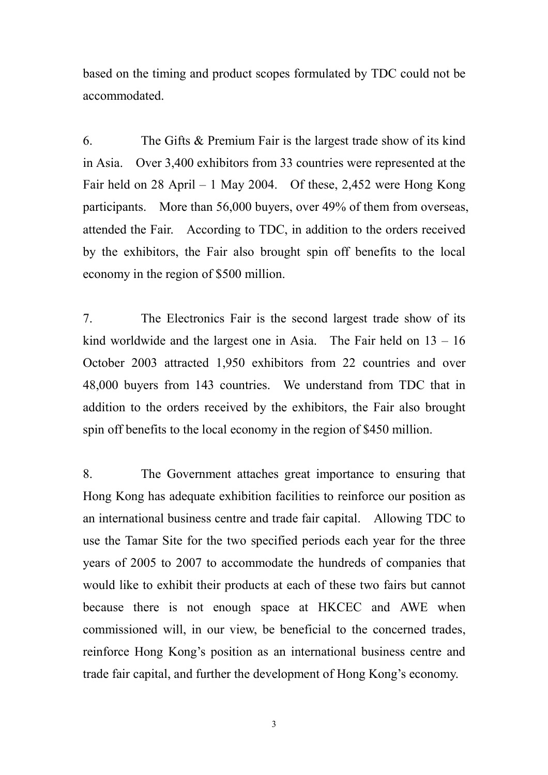based on the timing and product scopes formulated by TDC could not be accommodated.

6. The Gifts & Premium Fair is the largest trade show of its kind in Asia. Over 3,400 exhibitors from 33 countries were represented at the Fair held on 28 April – 1 May 2004. Of these, 2,452 were Hong Kong participants. More than 56,000 buyers, over 49% of them from overseas, attended the Fair. According to TDC, in addition to the orders received by the exhibitors, the Fair also brought spin off benefits to the local economy in the region of \$500 million.

7. The Electronics Fair is the second largest trade show of its kind worldwide and the largest one in Asia. The Fair held on  $13 - 16$ October 2003 attracted 1,950 exhibitors from 22 countries and over 48,000 buyers from 143 countries. We understand from TDC that in addition to the orders received by the exhibitors, the Fair also brought spin off benefits to the local economy in the region of \$450 million.

8. The Government attaches great importance to ensuring that Hong Kong has adequate exhibition facilities to reinforce our position as an international business centre and trade fair capital. Allowing TDC to use the Tamar Site for the two specified periods each year for the three years of 2005 to 2007 to accommodate the hundreds of companies that would like to exhibit their products at each of these two fairs but cannot because there is not enough space at HKCEC and AWE when commissioned will, in our view, be beneficial to the concerned trades, reinforce Hong Kong's position as an international business centre and trade fair capital, and further the development of Hong Kong's economy.

3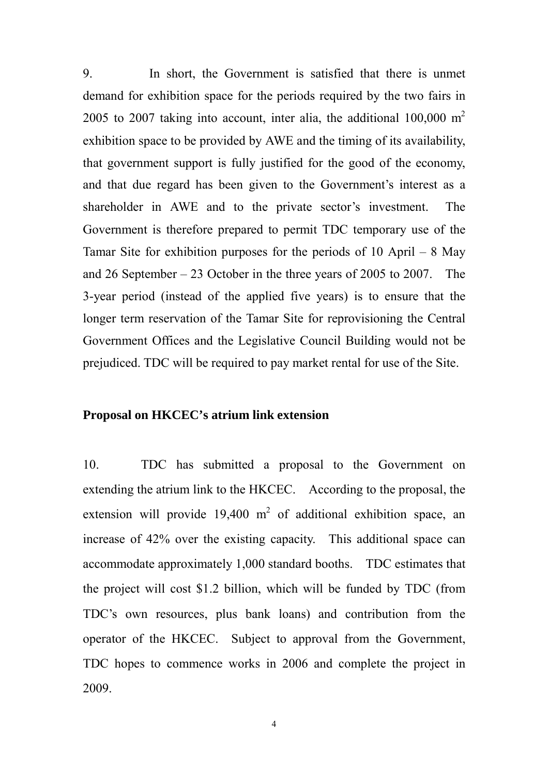9. In short, the Government is satisfied that there is unmet demand for exhibition space for the periods required by the two fairs in 2005 to 2007 taking into account, inter alia, the additional  $100,000 \text{ m}^2$ exhibition space to be provided by AWE and the timing of its availability, that government support is fully justified for the good of the economy, and that due regard has been given to the Government's interest as a shareholder in AWE and to the private sector's investment. The Government is therefore prepared to permit TDC temporary use of the Tamar Site for exhibition purposes for the periods of 10 April – 8 May and 26 September – 23 October in the three years of 2005 to 2007. The 3-year period (instead of the applied five years) is to ensure that the longer term reservation of the Tamar Site for reprovisioning the Central Government Offices and the Legislative Council Building would not be prejudiced. TDC will be required to pay market rental for use of the Site.

## **Proposal on HKCEC's atrium link extension**

10. TDC has submitted a proposal to the Government on extending the atrium link to the HKCEC. According to the proposal, the extension will provide  $19,400 \text{ m}^2$  of additional exhibition space, an increase of 42% over the existing capacity. This additional space can accommodate approximately 1,000 standard booths. TDC estimates that the project will cost \$1.2 billion, which will be funded by TDC (from TDC's own resources, plus bank loans) and contribution from the operator of the HKCEC. Subject to approval from the Government, TDC hopes to commence works in 2006 and complete the project in 2009.

4